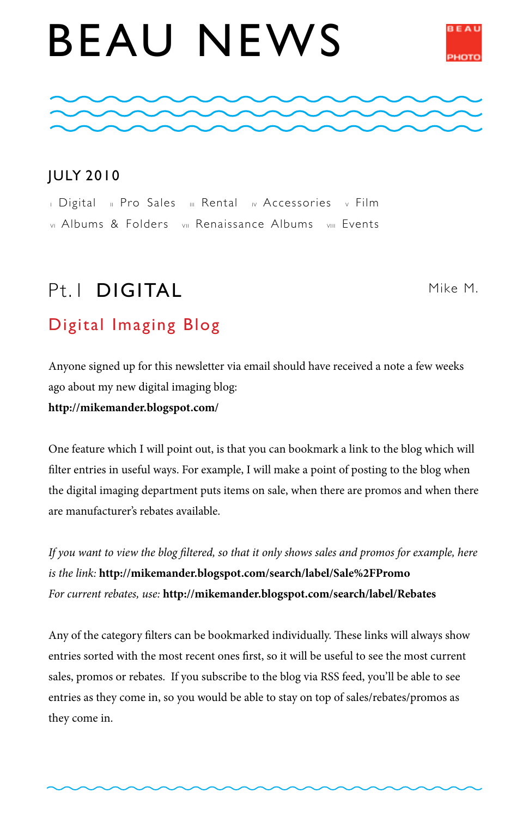# BEAU NEWS





#### JULY 2010

I Digital II Pro Sales III Rental IV Accessories v Film vi Albums & Folders vii Renaissance Albums viii Events

# $Pt$  | DIGITAL

Mike M.

#### Digital Imaging Blog

Anyone signed up for this newsletter via email should have received a note a few weeks ago about my new digital imaging blog:

**http://mikemander.blogspot.com/**

One feature which I will point out, is that you can bookmark a link to the blog which will filter entries in useful ways. For example, I will make a point of posting to the blog when the digital imaging department puts items on sale, when there are promos and when there are manufacturer's rebates available.

*If you want to view the blog filtered, so that it only shows sales and promos for example, here is the link:* **http://mikemander.blogspot.com/search/label/Sale%2FPromo** *For current rebates, use:* **http://mikemander.blogspot.com/search/label/Rebates**

Any of the category filters can be bookmarked individually. These links will always show entries sorted with the most recent ones first, so it will be useful to see the most current sales, promos or rebates. If you subscribe to the blog via RSS feed, you'll be able to see entries as they come in, so you would be able to stay on top of sales/rebates/promos as they come in.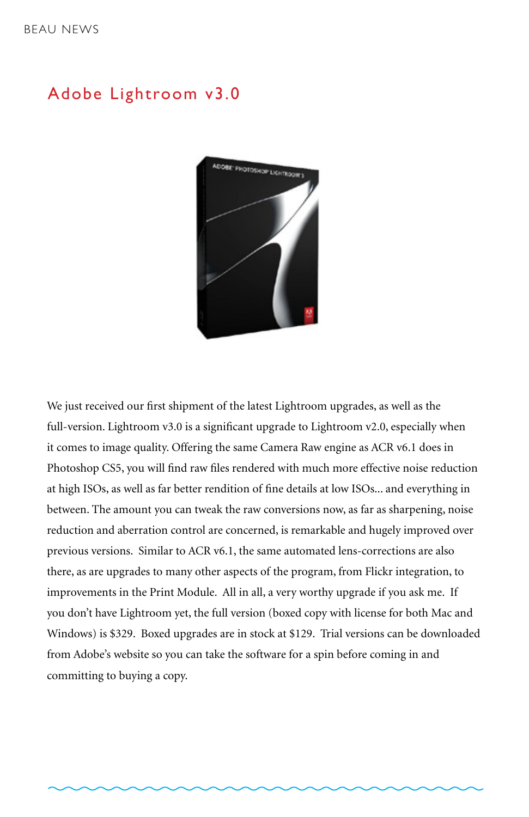#### Adobe Lightroom v3.0



We just received our first shipment of the latest Lightroom upgrades, as well as the full-version. Lightroom v3.0 is a significant upgrade to Lightroom v2.0, especially when it comes to image quality. Offering the same Camera Raw engine as ACR v6.1 does in Photoshop CS5, you will find raw files rendered with much more effective noise reduction at high ISOs, as well as far better rendition of fine details at low ISOs... and everything in between. The amount you can tweak the raw conversions now, as far as sharpening, noise reduction and aberration control are concerned, is remarkable and hugely improved over previous versions. Similar to ACR v6.1, the same automated lens-corrections are also there, as are upgrades to many other aspects of the program, from Flickr integration, to improvements in the Print Module. All in all, a very worthy upgrade if you ask me. If you don't have Lightroom yet, the full version (boxed copy with license for both Mac and Windows) is \$329. Boxed upgrades are in stock at \$129. Trial versions can be downloaded from Adobe's website so you can take the software for a spin before coming in and committing to buying a copy.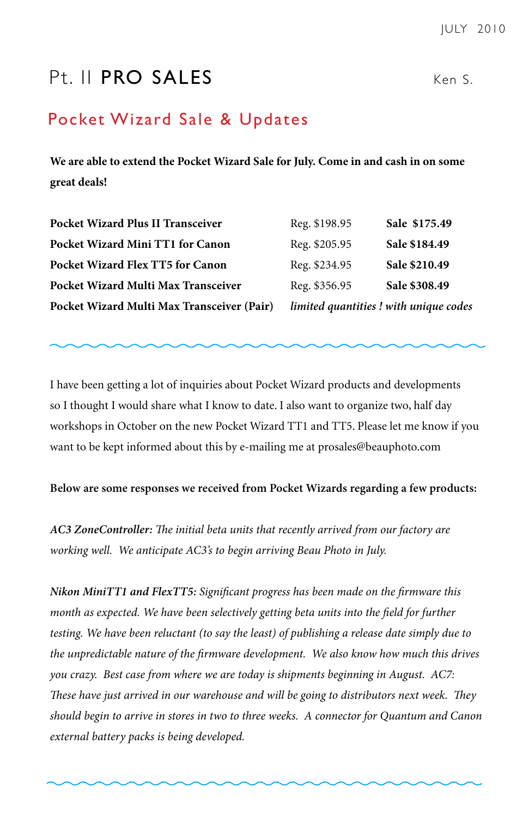## Pt. II PRO SALES Ken S.

#### Pocket Wizard Sale & Updates

**We are able to extend the Pocket Wizard Sale for July. Come in and cash in on some great deals!**

| Pocket Wizard Multi Max Transceiver (Pair) | limited quantities ! with unique codes |               |
|--------------------------------------------|----------------------------------------|---------------|
| Pocket Wizard Multi Max Transceiver        | Reg. \$356.95                          | Sale \$308.49 |
| Pocket Wizard Flex TT5 for Canon           | Reg. \$234.95                          | Sale \$210.49 |
| Pocket Wizard Mini TT1 for Canon           | Reg. \$205.95                          | Sale \$184.49 |
| Pocket Wizard Plus II Transceiver          | Reg. \$198.95                          | Sale \$175.49 |

I have been getting a lot of inquiries about Pocket Wizard products and developments so I thought I would share what I know to date. I also want to organize two, half day workshops in October on the new Pocket Wizard TT1 and TT5. Please let me know if you want to be kept informed about this by e-mailing me at prosales@beauphoto.com

**Below are some responses we received from Pocket Wizards regarding a few products:**

*AC3 ZoneController: The initial beta units that recently arrived from our factory are working well. We anticipate AC3's to begin arriving Beau Photo in July.* 

*Nikon MiniTT1 and FlexTT5: Significant progress has been made on the firmware this month as expected. We have been selectively getting beta units into the field for further testing. We have been reluctant (to say the least) of publishing a release date simply due to the unpredictable nature of the firmware development. We also know how much this drives you crazy. Best case from where we are today is shipments beginning in August. AC7: These have just arrived in our warehouse and will be going to distributors next week. They should begin to arrive in stores in two to three weeks. A connector for Quantum and Canon external battery packs is being developed.*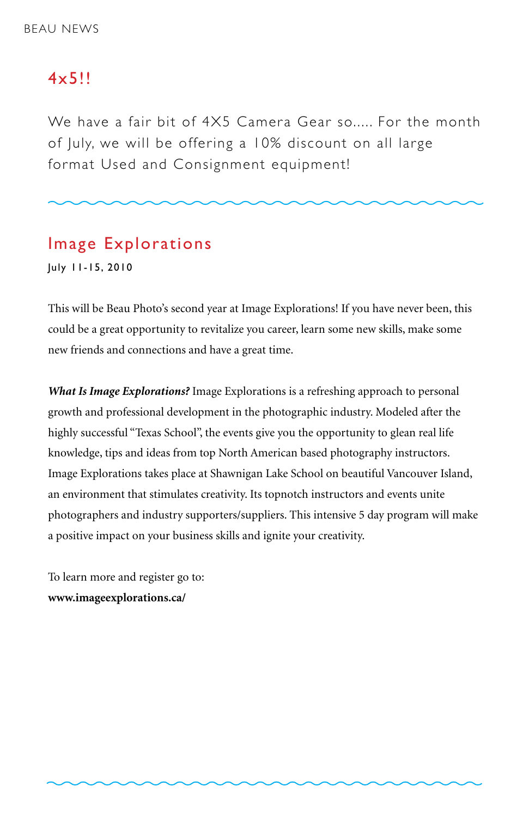#### $4 \times 511$

We have a fair bit of 4X5 Camera Gear so..... For the month of July, we will be offering a 10% discount on all large format Used and Consignment equipment!

#### Image Explorations

July 11-15, 2010

This will be Beau Photo's second year at Image Explorations! If you have never been, this could be a great opportunity to revitalize you career, learn some new skills, make some new friends and connections and have a great time.

*What Is Image Explorations?* Image Explorations is a refreshing approach to personal growth and professional development in the photographic industry. Modeled after the highly successful "Texas School", the events give you the opportunity to glean real life knowledge, tips and ideas from top North American based photography instructors. Image Explorations takes place at Shawnigan Lake School on beautiful Vancouver Island, an environment that stimulates creativity. Its topnotch instructors and events unite photographers and industry supporters/suppliers. This intensive 5 day program will make a positive impact on your business skills and ignite your creativity.

To learn more and register go to: **www.imageexplorations.ca/**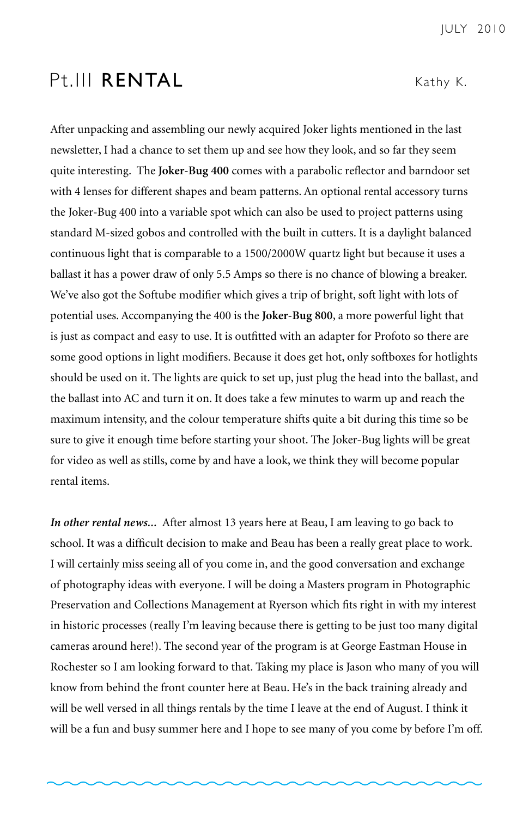#### Pt.III RENTAL Kathy K.

After unpacking and assembling our newly acquired Joker lights mentioned in the last newsletter, I had a chance to set them up and see how they look, and so far they seem quite interesting. The **Joker-Bug 400** comes with a parabolic reflector and barndoor set with 4 lenses for different shapes and beam patterns. An optional rental accessory turns the Joker-Bug 400 into a variable spot which can also be used to project patterns using standard M-sized gobos and controlled with the built in cutters. It is a daylight balanced continuous light that is comparable to a 1500/2000W quartz light but because it uses a ballast it has a power draw of only 5.5 Amps so there is no chance of blowing a breaker. We've also got the Softube modifier which gives a trip of bright, soft light with lots of potential uses. Accompanying the 400 is the **Joker-Bug 800**, a more powerful light that is just as compact and easy to use. It is outfitted with an adapter for Profoto so there are some good options in light modifiers. Because it does get hot, only softboxes for hotlights should be used on it. The lights are quick to set up, just plug the head into the ballast, and the ballast into AC and turn it on. It does take a few minutes to warm up and reach the maximum intensity, and the colour temperature shifts quite a bit during this time so be sure to give it enough time before starting your shoot. The Joker-Bug lights will be great for video as well as stills, come by and have a look, we think they will become popular rental items.

*In other rental news...* After almost 13 years here at Beau, I am leaving to go back to school. It was a difficult decision to make and Beau has been a really great place to work. I will certainly miss seeing all of you come in, and the good conversation and exchange of photography ideas with everyone. I will be doing a Masters program in Photographic Preservation and Collections Management at Ryerson which fits right in with my interest in historic processes (really I'm leaving because there is getting to be just too many digital cameras around here!). The second year of the program is at George Eastman House in Rochester so I am looking forward to that. Taking my place is Jason who many of you will know from behind the front counter here at Beau. He's in the back training already and will be well versed in all things rentals by the time I leave at the end of August. I think it will be a fun and busy summer here and I hope to see many of you come by before I'm off.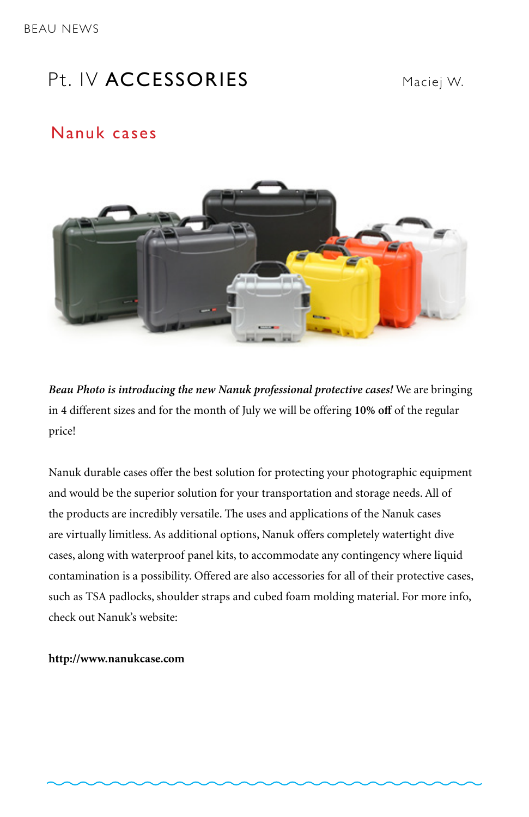## Pt. IV ACCESSORIES Maciei W.

#### Nanuk cases



*Beau Photo is introducing the new Nanuk professional protective cases!* We are bringing in 4 different sizes and for the month of July we will be offering **10% off** of the regular price!

Nanuk durable cases offer the best solution for protecting your photographic equipment and would be the superior solution for your transportation and storage needs. All of the products are incredibly versatile. The uses and applications of the Nanuk cases are virtually limitless. As additional options, Nanuk offers completely watertight dive cases, along with waterproof panel kits, to accommodate any contingency where liquid contamination is a possibility. Offered are also accessories for all of their protective cases, such as TSA padlocks, shoulder straps and cubed foam molding material. For more info, check out Nanuk's website:

#### **http://www.nanukcase.com**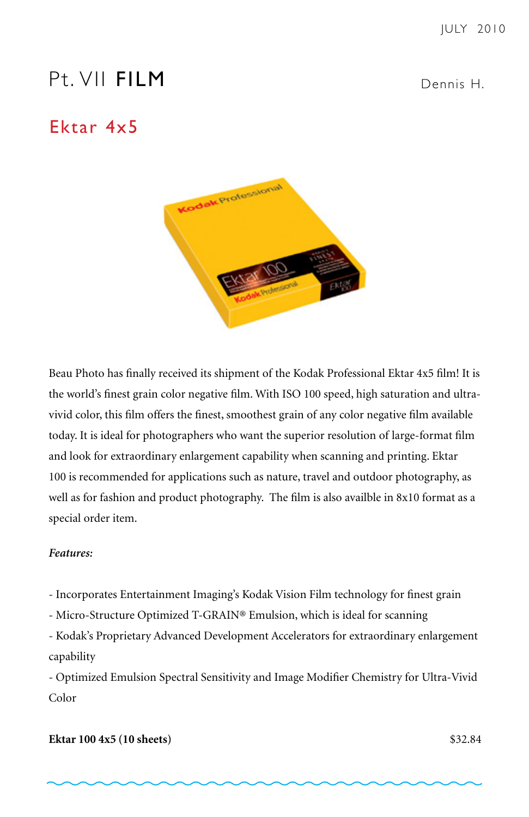## Pt. VII FILM Dennis H.

#### Ektar 4x5



Beau Photo has finally received its shipment of the Kodak Professional Ektar 4x5 film! It is the world's finest grain color negative film. With ISO 100 speed, high saturation and ultravivid color, this film offers the finest, smoothest grain of any color negative film available today. It is ideal for photographers who want the superior resolution of large-format film and look for extraordinary enlargement capability when scanning and printing. Ektar 100 is recommended for applications such as nature, travel and outdoor photography, as well as for fashion and product photography. The film is also availble in 8x10 format as a special order item.

#### *Features:*

- Incorporates Entertainment Imaging's Kodak Vision Film technology for finest grain
- Micro-Structure Optimized T-GRAIN® Emulsion, which is ideal for scanning

- Kodak's Proprietary Advanced Development Accelerators for extraordinary enlargement capability

- Optimized Emulsion Spectral Sensitivity and Image Modifier Chemistry for Ultra-Vivid Color

#### **Ektar 100 4x5 (10 sheets)** \$32.84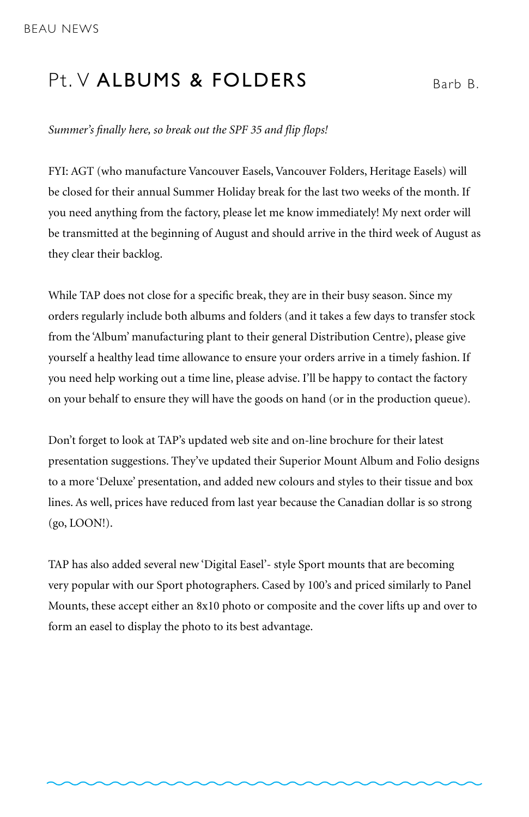#### Pt. V ALBUMS & FOLDERS  $B_{\text{Barb B}}$

*Summer's finally here, so break out the SPF 35 and flip flops!*

FYI: AGT (who manufacture Vancouver Easels, Vancouver Folders, Heritage Easels) will be closed for their annual Summer Holiday break for the last two weeks of the month. If you need anything from the factory, please let me know immediately! My next order will be transmitted at the beginning of August and should arrive in the third week of August as they clear their backlog.

While TAP does not close for a specific break, they are in their busy season. Since my orders regularly include both albums and folders (and it takes a few days to transfer stock from the 'Album' manufacturing plant to their general Distribution Centre), please give yourself a healthy lead time allowance to ensure your orders arrive in a timely fashion. If you need help working out a time line, please advise. I'll be happy to contact the factory on your behalf to ensure they will have the goods on hand (or in the production queue).

Don't forget to look at TAP's updated web site and on-line brochure for their latest presentation suggestions. They've updated their Superior Mount Album and Folio designs to a more 'Deluxe' presentation, and added new colours and styles to their tissue and box lines. As well, prices have reduced from last year because the Canadian dollar is so strong (go, LOON!).

TAP has also added several new 'Digital Easel'- style Sport mounts that are becoming very popular with our Sport photographers. Cased by 100's and priced similarly to Panel Mounts, these accept either an 8x10 photo or composite and the cover lifts up and over to form an easel to display the photo to its best advantage.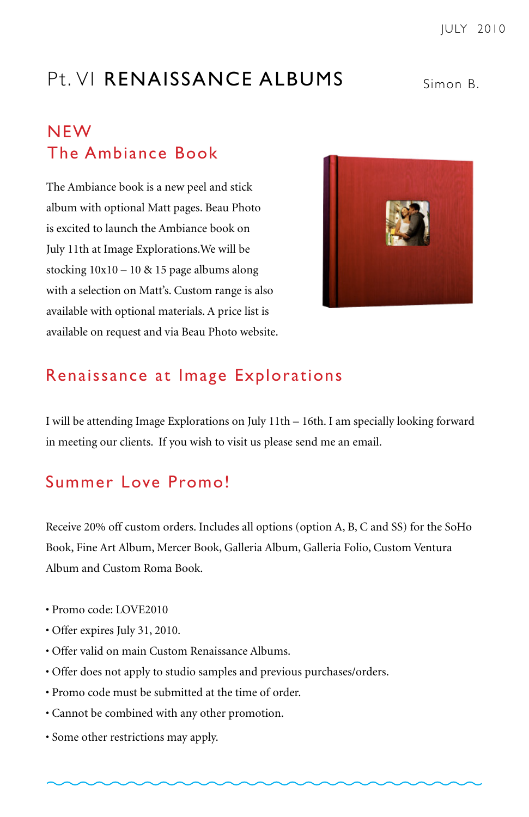# Pt. VI RENAISSANCE ALBUMS Simon B

#### NEW The Ambiance Book

The Ambiance book is a new peel and stick album with optional Matt pages. Beau Photo is excited to launch the Ambiance book on July 11th at Image Explorations.We will be stocking  $10x10 - 10$  & 15 page albums along with a selection on Matt's. Custom range is also available with optional materials. A price list is available on request and via Beau Photo website.



#### Renaissance at Image Explorations

I will be attending Image Explorations on July 11th – 16th. I am specially looking forward in meeting our clients. If you wish to visit us please send me an email.

#### Summer Love Promo!

Receive 20% off custom orders. Includes all options (option A, B, C and SS) for the SoHo Book, Fine Art Album, Mercer Book, Galleria Album, Galleria Folio, Custom Ventura Album and Custom Roma Book.

- Promo code: LOVE2010
- Offer expires July 31, 2010.
- Offer valid on main Custom Renaissance Albums.
- Offer does not apply to studio samples and previous purchases/orders.
- Promo code must be submitted at the time of order.
- Cannot be combined with any other promotion.
- Some other restrictions may apply.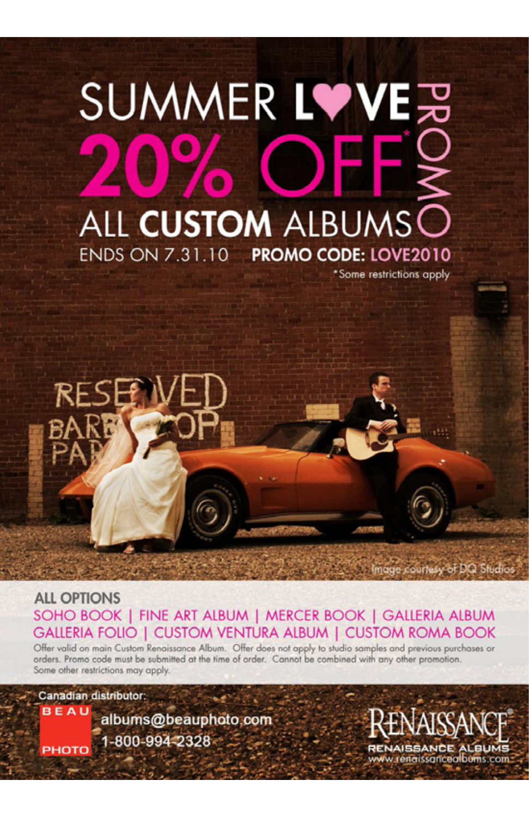# SUMMER LVVE另  $\overline{\mathbf{c}}$ ALL CUSTOM ALBUMS ENDS ON 7.31.10 PROMO CODE: LOVE2010 \*Some restrictions apply



**ALL OPTIONS** SOHO BOOK | FINE ART ALBUM | MERCER BOOK | GALLERIA ALBUM GALLERIA FOLIO I CUSTOM VENTURA ALBUM I CUSTOM ROMA BOOK

Offer valid on main Custom Renaissance Album. Offer does not apply to studio samples and previous purchases or orders. Promo code must be submitted at the time of order. Cannot be combined with any other promotion. Some other restrictions may apply.

Canadian distributor:

**BEAU** albums@beauphoto.com 1-800-994-2328 PHOTO